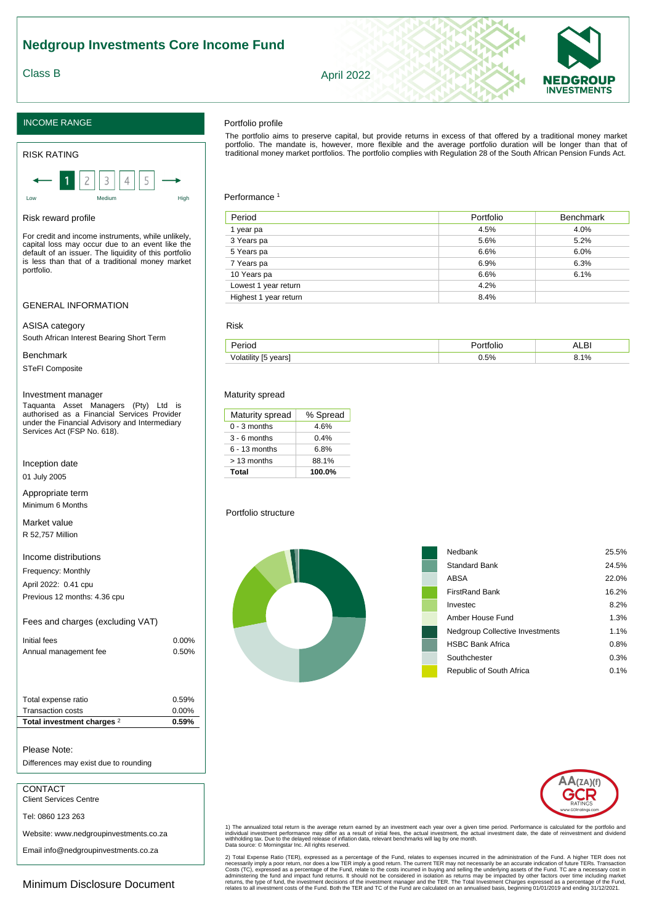# INCOME RANGE

#### RISK RATING

Low Medium High

#### Risk reward profile

For credit and income instruments, while unlikely, capital loss may occur due to an event like the default of an issuer. The liquidity of this portfolio is less than that of a traditional money market portfolio.

## GENERAL INFORMATION

#### ASISA category

South African Interest Bearing Short Term

## Benchmark

STeFI Composite

#### Investment manager

Taquanta Asset Managers (Pty) Ltd is authorised as a Financial Services Provider under the Financial Advisory and Intermediary Services Act (FSP No. 618).

Inception date

01 July 2005

Appropriate term Minimum 6 Months

Market value R 52,757 Million

## Income distributions

Frequency: Monthly

April 2022: 0.41 cpu Previous 12 months: 4.36 cpu

# Fees and charges (excluding VAT)

| Initial fees          | $0.00\%$ |
|-----------------------|----------|
| Annual management fee | 0.50%    |

| Total expense ratio      |   | 0.59%    |
|--------------------------|---|----------|
| Transaction costs        |   | $0.00\%$ |
| Total investment charges | 2 | 0.59%    |
|                          |   |          |

## Please Note:

Differences may exist due to rounding

# CONTACT

Client Services Centre

Tel: 0860 123 263

Website: www.nedgroupinvestments.co.za

Email info@nedgroupinvestments.co.za

Minimum Disclosure Document

## Portfolio profile

The portfolio aims to preserve capital, but provide returns in excess of that offered by a traditional money market<br>portfolio. The mandate is, however, more flexible and the average portfolio duration will be longer than t traditional money market portfolios. The portfolio complies with Regulation 28 of the South African Pension Funds Act.

#### Performance<sup>1</sup>

| Period                | Portfolio | <b>Benchmark</b> |
|-----------------------|-----------|------------------|
| 1 year pa             | 4.5%      | 4.0%             |
| 3 Years pa            | 5.6%      | 5.2%             |
| 5 Years pa            | 6.6%      | 6.0%             |
| 7 Years pa            | 6.9%      | 6.3%             |
| 10 Years pa           | 6.6%      | 6.1%             |
| Lowest 1 year return  | 4.2%      |                  |
| Highest 1 year return | 8.4%      |                  |

## Risk

|                    |    | $-$           |
|--------------------|----|---------------|
| $-$<br><b>VAIL</b> | 5% | ι٥,<br><br>"с |

#### Maturity spread

| Maturity spread | % Spread |  |
|-----------------|----------|--|
| $0 - 3$ months  | 4.6%     |  |
| $3 - 6$ months  | 0.4%     |  |
| $6 - 13$ months | 6.8%     |  |
| > 13 months     | 88.1%    |  |
| Total           | 100.0%   |  |

Portfolio structure

| Nedbank                                | 25.5%   |
|----------------------------------------|---------|
| <b>Standard Bank</b>                   | 24.5%   |
| ABSA                                   | 22.0%   |
| <b>FirstRand Bank</b>                  | 16.2%   |
| Investec                               | 8.2%    |
| Amber House Fund                       | 1.3%    |
| <b>Nedgroup Collective Investments</b> | 1.1%    |
| <b>HSBC Bank Africa</b>                | 0.8%    |
| Southchester                           | 0.3%    |
| Republic of South Africa               | $0.1\%$ |
|                                        |         |

1) The annualized total return is the average return earned by an investment each year over a given time period. Performance is calculated for the portfolio and<br>individual investment performance may differ as a result of i

2) Total Expense Ratio (TER), expressed as a percentage of the Fund, relates to expenses incurred in the administration of the Fund. A higher TER does not<br>necessarily imply a poor return, nor does a low TER imply a good re